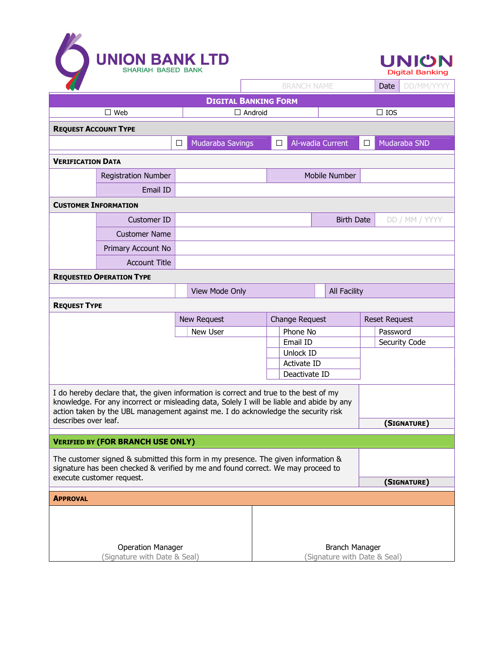



|                                                                                           |                                             |                              | <b>BRANCH NAME</b>                                    |                   | DD/MM/YYYY<br>Date     |
|-------------------------------------------------------------------------------------------|---------------------------------------------|------------------------------|-------------------------------------------------------|-------------------|------------------------|
| <b>DIGITAL BANKING FORM</b>                                                               |                                             |                              |                                                       |                   |                        |
|                                                                                           | $\square$ Web                               | $\Box$ Android               |                                                       |                   | $\square$ IOS          |
| <b>REQUEST ACCOUNT TYPE</b>                                                               |                                             |                              |                                                       |                   |                        |
|                                                                                           |                                             | <b>Mudaraba Savings</b><br>□ | □                                                     | Al-wadia Current  | $\Box$<br>Mudaraba SND |
| <b>VERIFICATION DATA</b>                                                                  |                                             |                              |                                                       |                   |                        |
|                                                                                           | Mobile Number<br><b>Registration Number</b> |                              |                                                       |                   |                        |
|                                                                                           | Email ID                                    |                              |                                                       |                   |                        |
| <b>CUSTOMER INFORMATION</b>                                                               |                                             |                              |                                                       |                   |                        |
|                                                                                           | Customer ID                                 |                              |                                                       | <b>Birth Date</b> | DD / MM / YYYY         |
|                                                                                           | <b>Customer Name</b>                        |                              |                                                       |                   |                        |
|                                                                                           | Primary Account No                          |                              |                                                       |                   |                        |
|                                                                                           | <b>Account Title</b>                        |                              |                                                       |                   |                        |
| <b>REQUESTED OPERATION TYPE</b>                                                           |                                             |                              |                                                       |                   |                        |
|                                                                                           |                                             | View Mode Only               | <b>All Facility</b>                                   |                   |                        |
| <b>REQUEST TYPE</b>                                                                       |                                             |                              |                                                       |                   |                        |
|                                                                                           |                                             | New Request                  | Change Request                                        |                   | <b>Reset Request</b>   |
|                                                                                           |                                             | New User                     | Phone No                                              |                   | Password               |
|                                                                                           |                                             |                              | Email ID                                              |                   | Security Code          |
|                                                                                           |                                             |                              | Unlock ID<br>Activate ID                              |                   |                        |
|                                                                                           |                                             |                              | Deactivate ID                                         |                   |                        |
| I do hereby declare that, the given information is correct and true to the best of my     |                                             |                              |                                                       |                   |                        |
| knowledge. For any incorrect or misleading data, Solely I will be liable and abide by any |                                             |                              |                                                       |                   |                        |
| action taken by the UBL management against me. I do acknowledge the security risk         |                                             |                              |                                                       |                   |                        |
| describes over leaf.<br>(SIGNATURE)                                                       |                                             |                              |                                                       |                   |                        |
| <b>VERIFIED BY (FOR BRANCH USE ONLY)</b>                                                  |                                             |                              |                                                       |                   |                        |
| The customer signed & submitted this form in my presence. The given information &         |                                             |                              |                                                       |                   |                        |
| signature has been checked & verified by me and found correct. We may proceed to          |                                             |                              |                                                       |                   |                        |
| execute customer request.                                                                 |                                             |                              |                                                       |                   | (SIGNATURE)            |
| <b>APPROVAL</b>                                                                           |                                             |                              |                                                       |                   |                        |
|                                                                                           |                                             |                              |                                                       |                   |                        |
|                                                                                           |                                             |                              |                                                       |                   |                        |
|                                                                                           |                                             |                              |                                                       |                   |                        |
| <b>Operation Manager</b><br>(Signature with Date & Seal)                                  |                                             |                              | <b>Branch Manager</b><br>(Signature with Date & Seal) |                   |                        |
|                                                                                           |                                             |                              |                                                       |                   |                        |